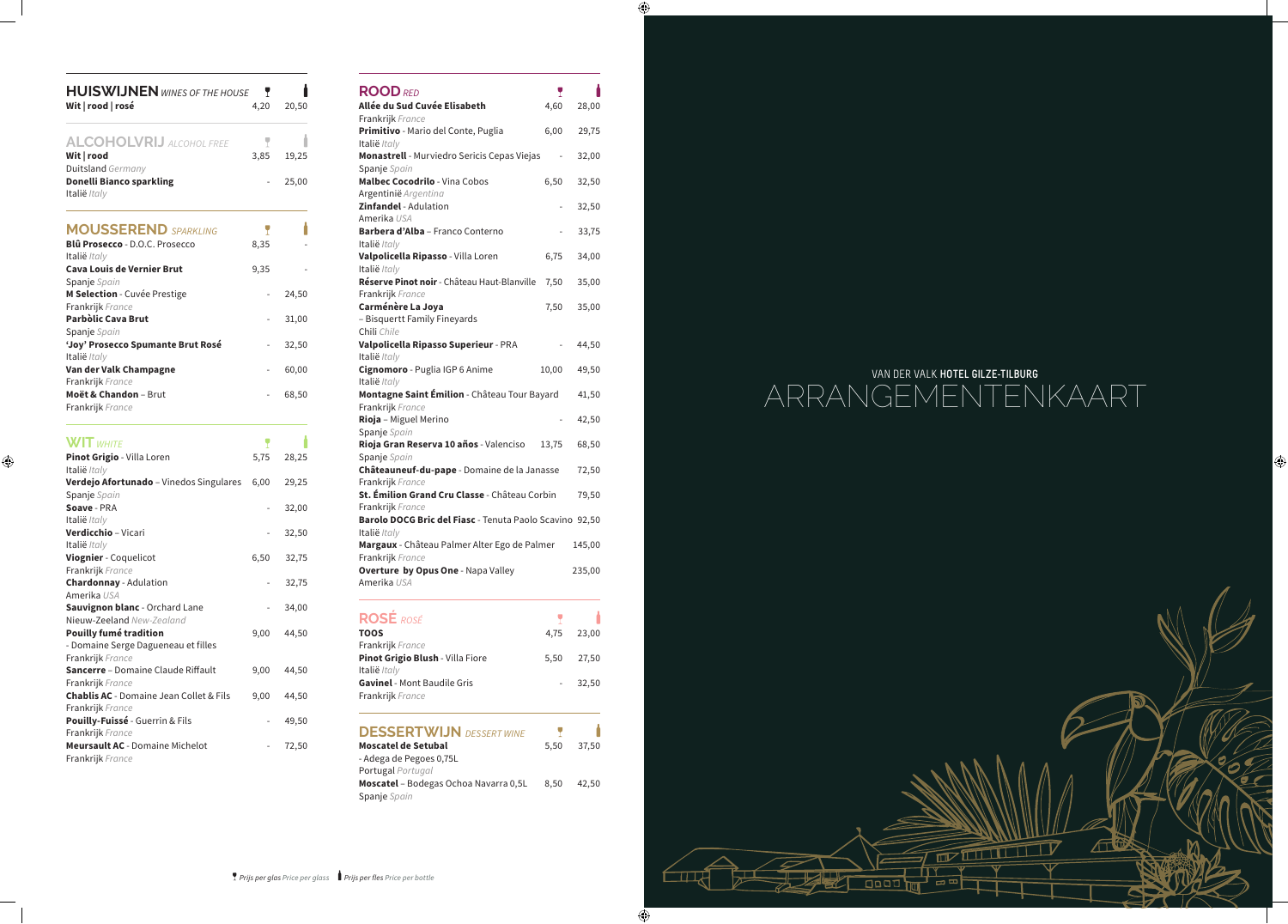# VAN DER VALK **HOTEL GILZE-TILBURG** ARRANGEMENTENKAART



 $\bigcirc$ 

#### *Prijs per glas Price per glass Prijs per fles Price per bottle*

| <b>HUISWIJNEN</b> WINES OF THE HOUSE                        | Y    |       |
|-------------------------------------------------------------|------|-------|
| Wit   rood   rosé                                           | 4,20 | 20,50 |
|                                                             |      |       |
| <b>ALCOHOLVRIJ</b> ALCOHOL FREE                             | Y    |       |
| Wit   rood                                                  | 3,85 | 19,25 |
| Duitsland Germany                                           |      |       |
| <b>Donelli Bianco sparkling</b>                             |      | 25,00 |
| Italië Italy                                                |      |       |
|                                                             |      |       |
| <b>MOUSSEREND</b> SPARKLING                                 | Y    |       |
| <b>Blû Prosecco - D.O.C. Prosecco</b>                       | 8,35 |       |
| Italië Italy                                                |      |       |
| <b>Cava Louis de Vernier Brut</b>                           | 9,35 |       |
| Spanje Spain                                                |      |       |
| M Selection - Cuvée Prestige                                |      | 24,50 |
| Frankrijk France                                            |      |       |
| Parbòlic Cava Brut                                          |      | 31,00 |
| Spanje Spain                                                |      |       |
| 'Joy' Prosecco Spumante Brut Rosé                           |      | 32,50 |
| Italië Italy                                                |      |       |
| Van der Valk Champagne                                      |      | 60,00 |
| Frankrijk France                                            |      |       |
| Moët & Chandon - Brut                                       |      | 68,50 |
| Frankrijk France                                            |      |       |
|                                                             |      |       |
|                                                             |      |       |
| <b>WIT WHITE</b>                                            | Y    |       |
| Pinot Grigio - Villa Loren                                  | 5,75 | 28,25 |
| Italië Italy                                                |      |       |
| Verdejo Afortunado - Vinedos Singulares                     | 6,00 | 29,25 |
| Spanje Spain                                                |      |       |
| Soave - PRA                                                 |      | 32,00 |
| Italië Italy                                                |      |       |
| Verdicchio - Vicari                                         |      | 32,50 |
| Italië Italy                                                |      |       |
| Viognier - Coquelicot                                       | 6,50 | 32,75 |
| Frankrijk France                                            |      |       |
| <b>Chardonnay</b> - Adulation                               |      | 32,75 |
| Amerika USA                                                 |      |       |
| Sauvignon blanc - Orchard Lane<br>Nieuw-Zeeland New-Zealand |      | 34,00 |
| <b>Pouilly fumé tradition</b>                               | 9,00 | 44,50 |
| - Domaine Serge Dagueneau et filles                         |      |       |
| Frankrijk France                                            |      |       |
| Sancerre - Domaine Claude Riffault                          | 9,00 | 44,50 |
| Frankrijk France                                            |      |       |
| Chablis AC - Domaine Jean Collet & Fils                     | 9,00 | 44,50 |
| Frankrijk France                                            |      |       |
| Pouilly-Fuissé - Guerrin & Fils                             |      | 49,50 |
| Frankrijk France                                            |      |       |
| <b>Meursault AC</b> - Domaine Michelot<br>Frankrijk France  |      | 72,50 |

 $\bigoplus$ 

| <b>ROOD RED</b>                                                         | Y                        |        |
|-------------------------------------------------------------------------|--------------------------|--------|
| Allée du Sud Cuvée Elisabeth                                            | 4,60                     | 28,00  |
| Frankrijk France                                                        |                          |        |
| Primitivo - Mario del Conte, Puglia                                     | 6,00                     | 29,75  |
| Italië /taly<br>Monastrell - Murviedro Sericis Cepas Viejas             |                          |        |
| Spanje Spain                                                            | $\overline{\phantom{0}}$ | 32,00  |
| <b>Malbec Cocodrilo - Vina Cobos</b>                                    | 6,50                     | 32,50  |
| Argentinië Argentina                                                    |                          |        |
| Zinfandel - Adulation                                                   |                          | 32,50  |
| Amerika USA                                                             |                          |        |
| Barbera d'Alba - Franco Conterno                                        |                          | 33,75  |
| Italië /taly<br>Valpolicella Ripasso - Villa Loren                      | 6,75                     | 34,00  |
| Italië /taly                                                            |                          |        |
| Réserve Pinot noir - Château Haut-Blanville                             | 7,50                     | 35,00  |
| Frankrijk France                                                        |                          |        |
| Carménère La Joya                                                       | 7,50                     | 35,00  |
| - Bisquertt Family Fineyards                                            |                          |        |
| Chili Chile<br>Valpolicella Ripasso Superieur - PRA                     |                          |        |
| Italië Italy                                                            |                          | 44,50  |
| Cignomoro - Puglia IGP 6 Anime                                          | 10,00                    | 49,50  |
| Italië /taly                                                            |                          |        |
| Montagne Saint Émilion - Château Tour Bayard                            |                          | 41,50  |
| Frankrijk France                                                        |                          |        |
| Rioja - Miguel Merino                                                   |                          | 42,50  |
| Spanje Spain<br>Rioja Gran Reserva 10 años - Valenciso                  | 13,75                    | 68,50  |
| Spanje Spain                                                            |                          |        |
| Châteauneuf-du-pape - Domaine de la Janasse                             |                          | 72,50  |
| Frankrijk France                                                        |                          |        |
| St. Émilion Grand Cru Classe - Château Corbin                           |                          | 79,50  |
| Frankrijk France                                                        |                          |        |
| Barolo DOCG Bric del Fiasc - Tenuta Paolo Scavino 92,50<br>Italië Italy |                          |        |
| Margaux - Château Palmer Alter Ego de Palmer                            |                          | 145,00 |
| Frankrijk France                                                        |                          |        |
| <b>Overture by Opus One - Napa Valley</b>                               |                          | 235,00 |
| Amerika USA                                                             |                          |        |
|                                                                         |                          |        |
| <b>ROSÉ</b> ROSÉ                                                        |                          |        |
| <b>TOOS</b>                                                             | 4,75                     | 23,00  |
| Frankrijk France                                                        |                          |        |
| Pinot Grigio Blush - Villa Fiore                                        | 5,50                     | 27,50  |
| Italië Italy                                                            |                          |        |
| Gavinel - Mont Baudile Gris                                             |                          | 32,50  |
| Frankrijk France                                                        |                          |        |
|                                                                         |                          |        |
| <b>DESSERTWIJN</b> DESSERT WINE                                         | Y                        |        |
| <b>Moscatel de Setubal</b>                                              | 5,50                     | 37,50  |
| - Adega de Pegoes 0,75L                                                 |                          |        |
| Portugal Portugal                                                       |                          |        |
| Moscatel - Bodegas Ochoa Navarra 0,5L<br>Spanje Spain                   | 8,50                     | 42,50  |

 $\bigoplus$ 

 $\bigoplus$ 

 $\Box$